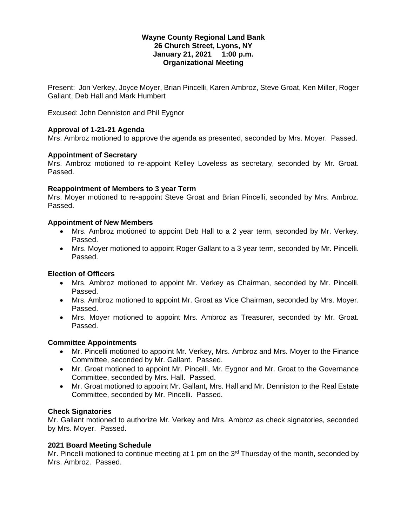## **Wayne County Regional Land Bank 26 Church Street, Lyons, NY January 21, 2021 1:00 p.m. Organizational Meeting**

Present: Jon Verkey, Joyce Moyer, Brian Pincelli, Karen Ambroz, Steve Groat, Ken Miller, Roger Gallant, Deb Hall and Mark Humbert

Excused: John Denniston and Phil Eygnor

## **Approval of 1-21-21 Agenda**

Mrs. Ambroz motioned to approve the agenda as presented, seconded by Mrs. Moyer. Passed.

## **Appointment of Secretary**

Mrs. Ambroz motioned to re-appoint Kelley Loveless as secretary, seconded by Mr. Groat. Passed.

## **Reappointment of Members to 3 year Term**

Mrs. Moyer motioned to re-appoint Steve Groat and Brian Pincelli, seconded by Mrs. Ambroz. Passed.

## **Appointment of New Members**

- Mrs. Ambroz motioned to appoint Deb Hall to a 2 year term, seconded by Mr. Verkey. Passed.
- Mrs. Moyer motioned to appoint Roger Gallant to a 3 year term, seconded by Mr. Pincelli. Passed.

# **Election of Officers**

- Mrs. Ambroz motioned to appoint Mr. Verkey as Chairman, seconded by Mr. Pincelli. Passed.
- Mrs. Ambroz motioned to appoint Mr. Groat as Vice Chairman, seconded by Mrs. Moyer. Passed.
- Mrs. Moyer motioned to appoint Mrs. Ambroz as Treasurer, seconded by Mr. Groat. Passed.

# **Committee Appointments**

- Mr. Pincelli motioned to appoint Mr. Verkey, Mrs. Ambroz and Mrs. Moyer to the Finance Committee, seconded by Mr. Gallant. Passed.
- Mr. Groat motioned to appoint Mr. Pincelli, Mr. Eygnor and Mr. Groat to the Governance Committee, seconded by Mrs. Hall. Passed.
- Mr. Groat motioned to appoint Mr. Gallant, Mrs. Hall and Mr. Denniston to the Real Estate Committee, seconded by Mr. Pincelli. Passed.

# **Check Signatories**

Mr. Gallant motioned to authorize Mr. Verkey and Mrs. Ambroz as check signatories, seconded by Mrs. Moyer. Passed.

# **2021 Board Meeting Schedule**

Mr. Pincelli motioned to continue meeting at 1 pm on the 3<sup>rd</sup> Thursday of the month, seconded by Mrs. Ambroz. Passed.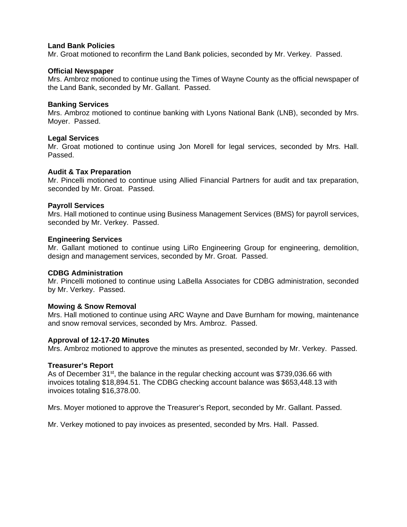## **Land Bank Policies**

Mr. Groat motioned to reconfirm the Land Bank policies, seconded by Mr. Verkey. Passed.

#### **Official Newspaper**

Mrs. Ambroz motioned to continue using the Times of Wayne County as the official newspaper of the Land Bank, seconded by Mr. Gallant. Passed.

### **Banking Services**

Mrs. Ambroz motioned to continue banking with Lyons National Bank (LNB), seconded by Mrs. Moyer. Passed.

### **Legal Services**

Mr. Groat motioned to continue using Jon Morell for legal services, seconded by Mrs. Hall. Passed.

### **Audit & Tax Preparation**

Mr. Pincelli motioned to continue using Allied Financial Partners for audit and tax preparation, seconded by Mr. Groat. Passed.

### **Payroll Services**

Mrs. Hall motioned to continue using Business Management Services (BMS) for payroll services, seconded by Mr. Verkey. Passed.

### **Engineering Services**

Mr. Gallant motioned to continue using LiRo Engineering Group for engineering, demolition, design and management services, seconded by Mr. Groat. Passed.

## **CDBG Administration**

Mr. Pincelli motioned to continue using LaBella Associates for CDBG administration, seconded by Mr. Verkey. Passed.

#### **Mowing & Snow Removal**

Mrs. Hall motioned to continue using ARC Wayne and Dave Burnham for mowing, maintenance and snow removal services, seconded by Mrs. Ambroz. Passed.

### **Approval of 12-17-20 Minutes**

Mrs. Ambroz motioned to approve the minutes as presented, seconded by Mr. Verkey. Passed.

#### **Treasurer's Report**

As of December 31<sup>st</sup>, the balance in the regular checking account was \$739,036.66 with invoices totaling \$18,894.51. The CDBG checking account balance was \$653,448.13 with invoices totaling \$16,378.00.

Mrs. Moyer motioned to approve the Treasurer's Report, seconded by Mr. Gallant. Passed.

Mr. Verkey motioned to pay invoices as presented, seconded by Mrs. Hall. Passed.